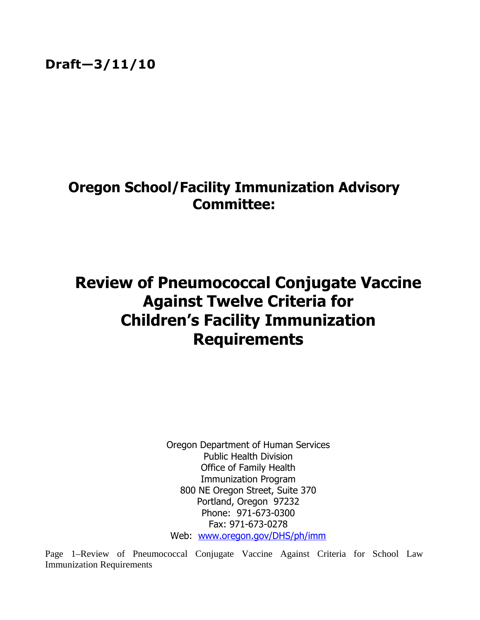## Oregon School/Facility Immunization Advisory Committee:

# Review of Pneumococcal Conjugate Vaccine Against Twelve Criteria for Children's Facility Immunization Requirements

Oregon Department of Human Services Public Health Division Office of Family Health Immunization Program 800 NE Oregon Street, Suite 370 Portland, Oregon 97232 Phone: 971-673-0300 Fax: 971-673-0278 Web: www.oregon.gov/DHS/ph/imm

Page 1–Review of Pneumococcal Conjugate Vaccine Against Criteria for School Law Immunization Requirements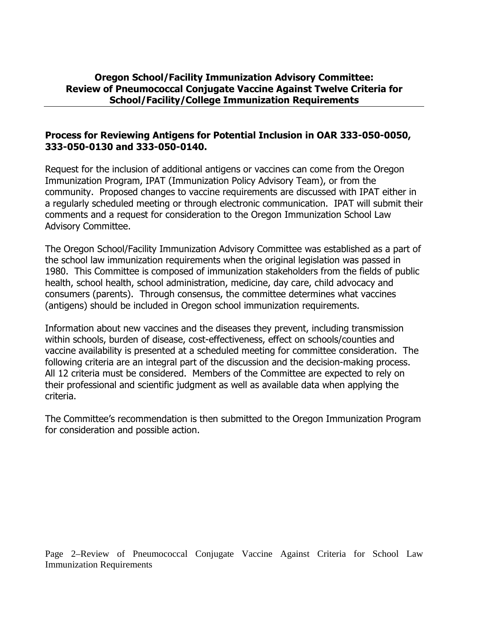#### Oregon School/Facility Immunization Advisory Committee: Review of Pneumococcal Conjugate Vaccine Against Twelve Criteria for School/Facility/College Immunization Requirements

#### Process for Reviewing Antigens for Potential Inclusion in OAR 333-050-0050, 333-050-0130 and 333-050-0140.

Request for the inclusion of additional antigens or vaccines can come from the Oregon Immunization Program, IPAT (Immunization Policy Advisory Team), or from the community. Proposed changes to vaccine requirements are discussed with IPAT either in a regularly scheduled meeting or through electronic communication. IPAT will submit their comments and a request for consideration to the Oregon Immunization School Law Advisory Committee.

The Oregon School/Facility Immunization Advisory Committee was established as a part of the school law immunization requirements when the original legislation was passed in 1980. This Committee is composed of immunization stakeholders from the fields of public health, school health, school administration, medicine, day care, child advocacy and consumers (parents). Through consensus, the committee determines what vaccines (antigens) should be included in Oregon school immunization requirements.

Information about new vaccines and the diseases they prevent, including transmission within schools, burden of disease, cost-effectiveness, effect on schools/counties and vaccine availability is presented at a scheduled meeting for committee consideration. The following criteria are an integral part of the discussion and the decision-making process. All 12 criteria must be considered. Members of the Committee are expected to rely on their professional and scientific judgment as well as available data when applying the criteria.

The Committee's recommendation is then submitted to the Oregon Immunization Program for consideration and possible action.

Page 2–Review of Pneumococcal Conjugate Vaccine Against Criteria for School Law Immunization Requirements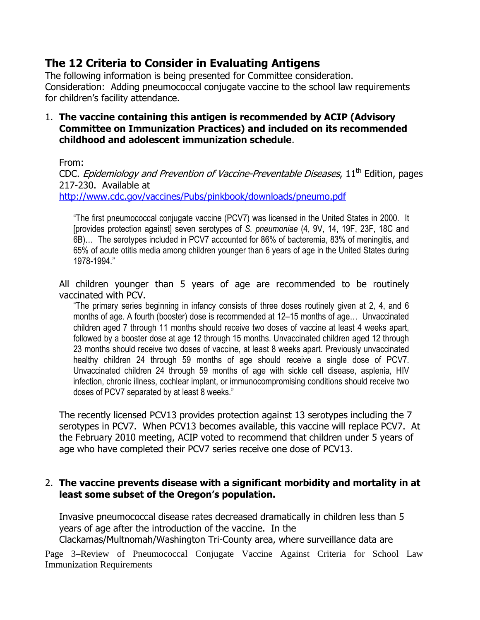### The 12 Criteria to Consider in Evaluating Antigens

The following information is being presented for Committee consideration. Consideration: Adding pneumococcal conjugate vaccine to the school law requirements for children's facility attendance.

#### 1. The vaccine containing this antigen is recommended by ACIP (Advisory Committee on Immunization Practices) and included on its recommended childhood and adolescent immunization schedule.

#### From:

CDC. *Epidemiology and Prevention of Vaccine-Preventable Diseases*,  $11<sup>th</sup>$  Edition, pages 217-230. Available at http://www.cdc.gov/vaccines/Pubs/pinkbook/downloads/pneumo.pdf

"The first pneumococcal conjugate vaccine (PCV7) was licensed in the United States in 2000. It [provides protection against] seven serotypes of S. pneumoniae (4, 9V, 14, 19F, 23F, 18C and 6B)… The serotypes included in PCV7 accounted for 86% of bacteremia, 83% of meningitis, and 65% of acute otitis media among children younger than 6 years of age in the United States during 1978-1994."

All children younger than 5 years of age are recommended to be routinely vaccinated with PCV.

"The primary series beginning in infancy consists of three doses routinely given at 2, 4, and 6 months of age. A fourth (booster) dose is recommended at 12–15 months of age… Unvaccinated children aged 7 through 11 months should receive two doses of vaccine at least 4 weeks apart, followed by a booster dose at age 12 through 15 months. Unvaccinated children aged 12 through 23 months should receive two doses of vaccine, at least 8 weeks apart. Previously unvaccinated healthy children 24 through 59 months of age should receive a single dose of PCV7. Unvaccinated children 24 through 59 months of age with sickle cell disease, asplenia, HIV infection, chronic illness, cochlear implant, or immunocompromising conditions should receive two doses of PCV7 separated by at least 8 weeks."

The recently licensed PCV13 provides protection against 13 serotypes including the 7 serotypes in PCV7. When PCV13 becomes available, this vaccine will replace PCV7. At the February 2010 meeting, ACIP voted to recommend that children under 5 years of age who have completed their PCV7 series receive one dose of PCV13.

#### 2. The vaccine prevents disease with a significant morbidity and mortality in at least some subset of the Oregon's population.

Invasive pneumococcal disease rates decreased dramatically in children less than 5 years of age after the introduction of the vaccine. In the Clackamas/Multnomah/Washington Tri-County area, where surveillance data are

Page 3–Review of Pneumococcal Conjugate Vaccine Against Criteria for School Law Immunization Requirements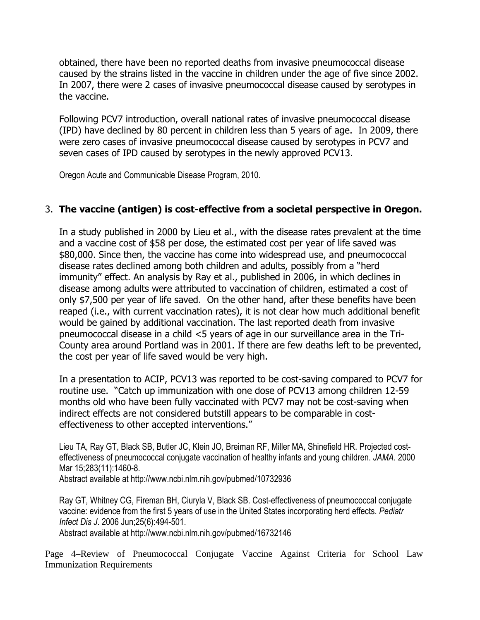obtained, there have been no reported deaths from invasive pneumococcal disease caused by the strains listed in the vaccine in children under the age of five since 2002. In 2007, there were 2 cases of invasive pneumococcal disease caused by serotypes in the vaccine.

Following PCV7 introduction, overall national rates of invasive pneumococcal disease (IPD) have declined by 80 percent in children less than 5 years of age. In 2009, there were zero cases of invasive pneumococcal disease caused by serotypes in PCV7 and seven cases of IPD caused by serotypes in the newly approved PCV13.

Oregon Acute and Communicable Disease Program, 2010.

#### 3. The vaccine (antigen) is cost-effective from a societal perspective in Oregon.

In a study published in 2000 by Lieu et al., with the disease rates prevalent at the time and a vaccine cost of \$58 per dose, the estimated cost per year of life saved was \$80,000. Since then, the vaccine has come into widespread use, and pneumococcal disease rates declined among both children and adults, possibly from a "herd immunity" effect. An analysis by Ray et al., published in 2006, in which declines in disease among adults were attributed to vaccination of children, estimated a cost of only \$7,500 per year of life saved. On the other hand, after these benefits have been reaped (i.e., with current vaccination rates), it is not clear how much additional benefit would be gained by additional vaccination. The last reported death from invasive pneumococcal disease in a child <5 years of age in our surveillance area in the Tri-County area around Portland was in 2001. If there are few deaths left to be prevented, the cost per year of life saved would be very high.

In a presentation to ACIP, PCV13 was reported to be cost-saving compared to PCV7 for routine use. "Catch up immunization with one dose of PCV13 among children 12-59 months old who have been fully vaccinated with PCV7 may not be cost-saving when indirect effects are not considered butstill appears to be comparable in costeffectiveness to other accepted interventions."

Lieu TA, Ray GT, Black SB, Butler JC, Klein JO, Breiman RF, Miller MA, Shinefield HR. Projected costeffectiveness of pneumococcal conjugate vaccination of healthy infants and young children. JAMA. 2000 Mar 15;283(11):1460-8.

Abstract available at http://www.ncbi.nlm.nih.gov/pubmed/10732936

Ray GT, Whitney CG, Fireman BH, Ciuryla V, Black SB. Cost-effectiveness of pneumococcal conjugate vaccine: evidence from the first 5 years of use in the United States incorporating herd effects. Pediatr Infect Dis J. 2006 Jun;25(6):494-501.

Abstract available at http://www.ncbi.nlm.nih.gov/pubmed/16732146

Page 4–Review of Pneumococcal Conjugate Vaccine Against Criteria for School Law Immunization Requirements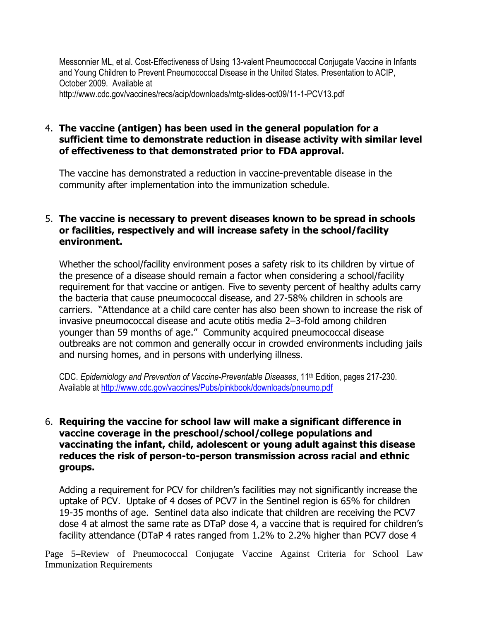Messonnier ML, et al. Cost-Effectiveness of Using 13-valent Pneumococcal Conjugate Vaccine in Infants and Young Children to Prevent Pneumococcal Disease in the United States. Presentation to ACIP, October 2009. Available at

http://www.cdc.gov/vaccines/recs/acip/downloads/mtg-slides-oct09/11-1-PCV13.pdf

#### 4. The vaccine (antigen) has been used in the general population for a sufficient time to demonstrate reduction in disease activity with similar level of effectiveness to that demonstrated prior to FDA approval.

The vaccine has demonstrated a reduction in vaccine-preventable disease in the community after implementation into the immunization schedule.

#### 5. The vaccine is necessary to prevent diseases known to be spread in schools or facilities, respectively and will increase safety in the school/facility environment.

Whether the school/facility environment poses a safety risk to its children by virtue of the presence of a disease should remain a factor when considering a school/facility requirement for that vaccine or antigen. Five to seventy percent of healthy adults carry the bacteria that cause pneumococcal disease, and 27-58% children in schools are carriers. "Attendance at a child care center has also been shown to increase the risk of invasive pneumococcal disease and acute otitis media 2–3-fold among children younger than 59 months of age." Community acquired pneumococcal disease outbreaks are not common and generally occur in crowded environments including jails and nursing homes, and in persons with underlying illness.

CDC. Epidemiology and Prevention of Vaccine-Preventable Diseases, 11th Edition, pages 217-230. Available at http://www.cdc.gov/vaccines/Pubs/pinkbook/downloads/pneumo.pdf

#### 6. Requiring the vaccine for school law will make a significant difference in vaccine coverage in the preschool/school/college populations and vaccinating the infant, child, adolescent or young adult against this disease reduces the risk of person-to-person transmission across racial and ethnic groups.

Adding a requirement for PCV for children's facilities may not significantly increase the uptake of PCV. Uptake of 4 doses of PCV7 in the Sentinel region is 65% for children 19-35 months of age. Sentinel data also indicate that children are receiving the PCV7 dose 4 at almost the same rate as DTaP dose 4, a vaccine that is required for children's facility attendance (DTaP 4 rates ranged from 1.2% to 2.2% higher than PCV7 dose 4

Page 5–Review of Pneumococcal Conjugate Vaccine Against Criteria for School Law Immunization Requirements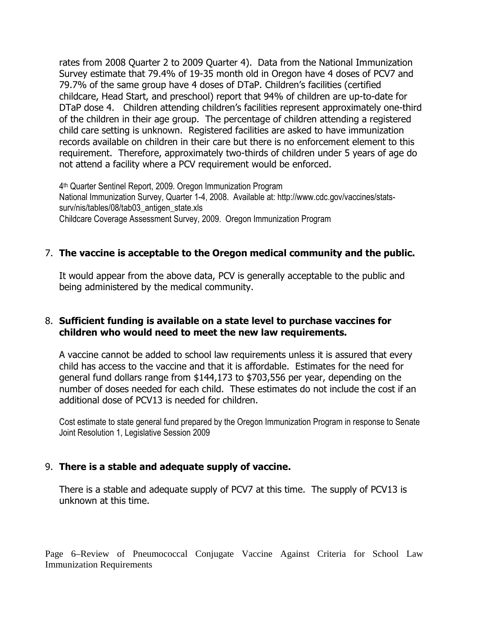rates from 2008 Quarter 2 to 2009 Quarter 4). Data from the National Immunization Survey estimate that 79.4% of 19-35 month old in Oregon have 4 doses of PCV7 and 79.7% of the same group have 4 doses of DTaP. Children's facilities (certified childcare, Head Start, and preschool) report that 94% of children are up-to-date for DTaP dose 4. Children attending children's facilities represent approximately one-third of the children in their age group. The percentage of children attending a registered child care setting is unknown. Registered facilities are asked to have immunization records available on children in their care but there is no enforcement element to this requirement. Therefore, approximately two-thirds of children under 5 years of age do not attend a facility where a PCV requirement would be enforced.

4 th Quarter Sentinel Report, 2009. Oregon Immunization Program National Immunization Survey, Quarter 1-4, 2008. Available at: http://www.cdc.gov/vaccines/statssurv/nis/tables/08/tab03 antigen state.xls Childcare Coverage Assessment Survey, 2009. Oregon Immunization Program

#### 7. The vaccine is acceptable to the Oregon medical community and the public.

It would appear from the above data, PCV is generally acceptable to the public and being administered by the medical community.

#### 8. Sufficient funding is available on a state level to purchase vaccines for children who would need to meet the new law requirements.

A vaccine cannot be added to school law requirements unless it is assured that every child has access to the vaccine and that it is affordable. Estimates for the need for general fund dollars range from \$144,173 to \$703,556 per year, depending on the number of doses needed for each child. These estimates do not include the cost if an additional dose of PCV13 is needed for children.

Cost estimate to state general fund prepared by the Oregon Immunization Program in response to Senate Joint Resolution 1, Legislative Session 2009

#### 9. There is a stable and adequate supply of vaccine.

There is a stable and adequate supply of PCV7 at this time. The supply of PCV13 is unknown at this time.

Page 6–Review of Pneumococcal Conjugate Vaccine Against Criteria for School Law Immunization Requirements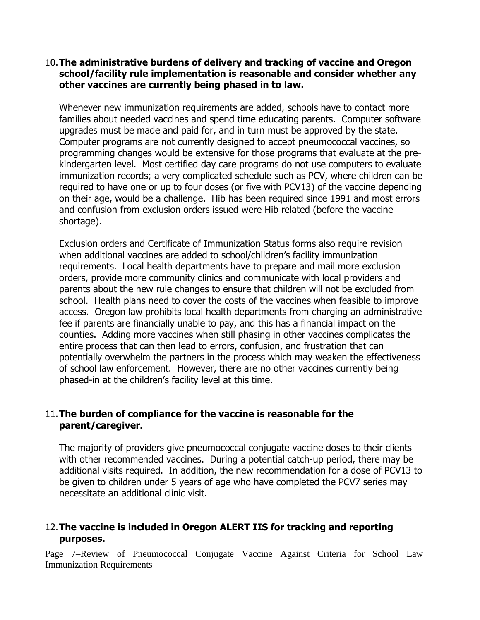#### 10.The administrative burdens of delivery and tracking of vaccine and Oregon school/facility rule implementation is reasonable and consider whether any other vaccines are currently being phased in to law.

Whenever new immunization requirements are added, schools have to contact more families about needed vaccines and spend time educating parents. Computer software upgrades must be made and paid for, and in turn must be approved by the state. Computer programs are not currently designed to accept pneumococcal vaccines, so programming changes would be extensive for those programs that evaluate at the prekindergarten level. Most certified day care programs do not use computers to evaluate immunization records; a very complicated schedule such as PCV, where children can be required to have one or up to four doses (or five with PCV13) of the vaccine depending on their age, would be a challenge. Hib has been required since 1991 and most errors and confusion from exclusion orders issued were Hib related (before the vaccine shortage).

Exclusion orders and Certificate of Immunization Status forms also require revision when additional vaccines are added to school/children's facility immunization requirements. Local health departments have to prepare and mail more exclusion orders, provide more community clinics and communicate with local providers and parents about the new rule changes to ensure that children will not be excluded from school. Health plans need to cover the costs of the vaccines when feasible to improve access. Oregon law prohibits local health departments from charging an administrative fee if parents are financially unable to pay, and this has a financial impact on the counties. Adding more vaccines when still phasing in other vaccines complicates the entire process that can then lead to errors, confusion, and frustration that can potentially overwhelm the partners in the process which may weaken the effectiveness of school law enforcement. However, there are no other vaccines currently being phased-in at the children's facility level at this time.

#### 11.The burden of compliance for the vaccine is reasonable for the parent/caregiver.

The majority of providers give pneumococcal conjugate vaccine doses to their clients with other recommended vaccines. During a potential catch-up period, there may be additional visits required. In addition, the new recommendation for a dose of PCV13 to be given to children under 5 years of age who have completed the PCV7 series may necessitate an additional clinic visit.

#### 12.The vaccine is included in Oregon ALERT IIS for tracking and reporting purposes.

Page 7–Review of Pneumococcal Conjugate Vaccine Against Criteria for School Law Immunization Requirements